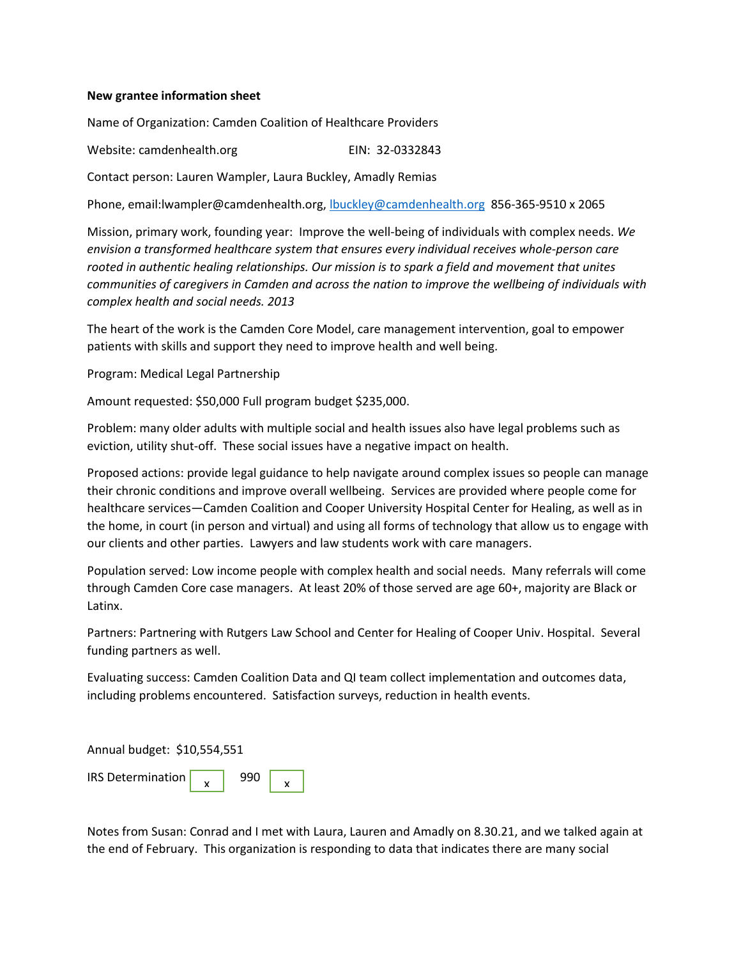## **New grantee information sheet**

Name of Organization: Camden Coalition of Healthcare Providers

Website: camdenhealth.org EIN: 32-0332843

Contact person: Lauren Wampler, Laura Buckley, Amadly Remias

Phone, email:lwampler@camdenhealth.org, [lbuckley@camdenhealth.org](mailto:lbuckley@camdenhealth.org) 856-365-9510 x 2065

Mission, primary work, founding year: Improve the well-being of individuals with complex needs. *We envision a transformed healthcare system that ensures every individual receives whole-person care rooted in authentic healing relationships. Our mission is to spark a field and movement that unites communities of caregivers in Camden and across the nation to improve the wellbeing of individuals with complex health and social needs. 2013*

The heart of the work is the Camden Core Model, care management intervention, goal to empower patients with skills and support they need to improve health and well being.

Program: Medical Legal Partnership

Amount requested: \$50,000 Full program budget \$235,000.

Problem: many older adults with multiple social and health issues also have legal problems such as eviction, utility shut-off. These social issues have a negative impact on health.

Proposed actions: provide legal guidance to help navigate around complex issues so people can manage their chronic conditions and improve overall wellbeing. Services are provided where people come for healthcare services—Camden Coalition and Cooper University Hospital Center for Healing, as well as in the home, in court (in person and virtual) and using all forms of technology that allow us to engage with our clients and other parties. Lawyers and law students work with care managers.

Population served: Low income people with complex health and social needs. Many referrals will come through Camden Core case managers. At least 20% of those served are age 60+, majority are Black or Latinx.

Partners: Partnering with Rutgers Law School and Center for Healing of Cooper Univ. Hospital. Several funding partners as well.

Evaluating success: Camden Coalition Data and QI team collect implementation and outcomes data, including problems encountered. Satisfaction surveys, reduction in health events.

Annual budget: \$10,554,551 IRS Determination | 990  $\mathsf{x}$   $\begin{array}{|c|c|c|c|} \hline \mathsf{x} & \mathsf{y} \end{array}$ 

Notes from Susan: Conrad and I met with Laura, Lauren and Amadly on 8.30.21, and we talked again at the end of February. This organization is responding to data that indicates there are many social